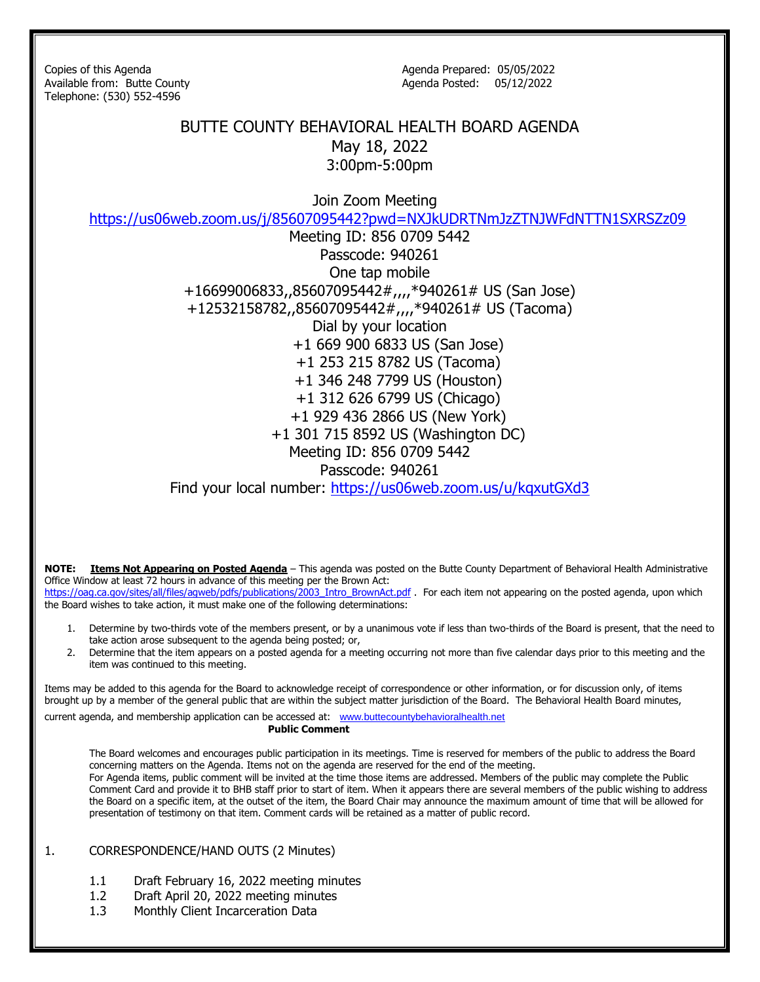Telephone: (530) 552-4596

Copies of this Agenda Agenda Agenda Prepared: 05/05/2022 Available from: Butte County and Agenda Posted: 05/12/2022

## BUTTE COUNTY BEHAVIORAL HEALTH BOARD AGENDA May 18, 2022 3:00pm-5:00pm

Join Zoom Meeting

<https://us06web.zoom.us/j/85607095442?pwd=NXJkUDRTNmJzZTNJWFdNTTN1SXRSZz09>

Meeting ID: 856 0709 5442 Passcode: 940261 One tap mobile +16699006833,,85607095442#,,,,\*940261# US (San Jose) +12532158782,,85607095442#,,,,\*940261# US (Tacoma) Dial by your location +1 669 900 6833 US (San Jose) +1 253 215 8782 US (Tacoma) +1 346 248 7799 US (Houston) +1 312 626 6799 US (Chicago) +1 929 436 2866 US (New York) +1 301 715 8592 US (Washington DC) Meeting ID: 856 0709 5442 Passcode: 940261

Find your local number:<https://us06web.zoom.us/u/kqxutGXd3>

**NOTE: Items Not Appearing on Posted Agenda** – This agenda was posted on the Butte County Department of Behavioral Health Administrative Office Window at least 72 hours in advance of this meeting per the Brown Act:

[https://oag.ca.gov/sites/all/files/agweb/pdfs/publications/2003\\_Intro\\_BrownAct.pdf](https://oag.ca.gov/sites/all/files/agweb/pdfs/publications/2003_Intro_BrownAct.pdf) . For each item not appearing on the posted agenda, upon which the Board wishes to take action, it must make one of the following determinations:

- 1. Determine by two-thirds vote of the members present, or by a unanimous vote if less than two-thirds of the Board is present, that the need to take action arose subsequent to the agenda being posted; or,
- 2. Determine that the item appears on a posted agenda for a meeting occurring not more than five calendar days prior to this meeting and the item was continued to this meeting.

Items may be added to this agenda for the Board to acknowledge receipt of correspondence or other information, or for discussion only, of items brought up by a member of the general public that are within the subject matter jurisdiction of the Board. The Behavioral Health Board minutes,

current agenda, and membership application can be accessed at: [www.buttecountybehavioralhealth.net](http://www.buttecountybehavioralhealth.net/) **Public Comment**

The Board welcomes and encourages public participation in its meetings. Time is reserved for members of the public to address the Board concerning matters on the Agenda. Items not on the agenda are reserved for the end of the meeting. For Agenda items, public comment will be invited at the time those items are addressed. Members of the public may complete the Public Comment Card and provide it to BHB staff prior to start of item. When it appears there are several members of the public wishing to address the Board on a specific item, at the outset of the item, the Board Chair may announce the maximum amount of time that will be allowed for presentation of testimony on that item. Comment cards will be retained as a matter of public record.

## 1. CORRESPONDENCE/HAND OUTS (2 Minutes)

- 1.1 Draft February 16, 2022 meeting minutes
- 1.2 Draft April 20, 2022 meeting minutes
- 1.3 Monthly Client Incarceration Data